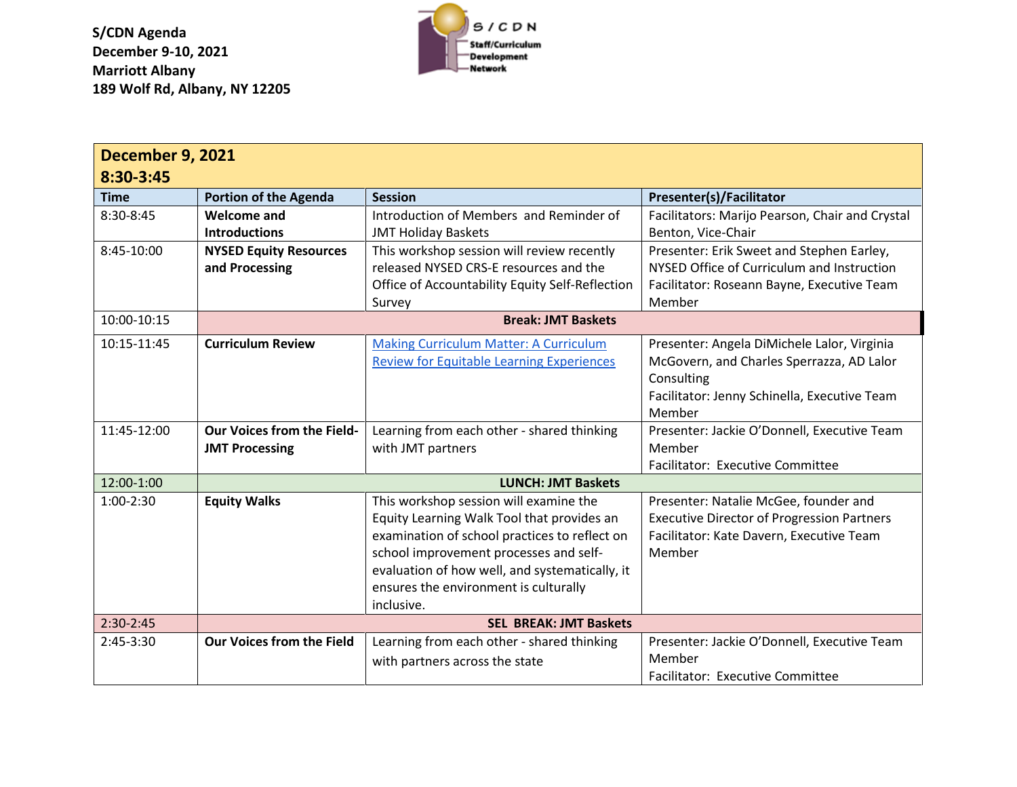**S/CDN Agenda December 9-10, 2021 Marriott Albany 189 Wolf Rd, Albany, NY 12205** 



| <b>December 9, 2021</b> |                                   |                                                  |                                                   |  |  |  |
|-------------------------|-----------------------------------|--------------------------------------------------|---------------------------------------------------|--|--|--|
| 8:30-3:45               |                                   |                                                  |                                                   |  |  |  |
| <b>Time</b>             | <b>Portion of the Agenda</b>      | <b>Session</b>                                   | <b>Presenter(s)/Facilitator</b>                   |  |  |  |
| 8:30-8:45               | <b>Welcome and</b>                | Introduction of Members and Reminder of          | Facilitators: Marijo Pearson, Chair and Crystal   |  |  |  |
|                         | <b>Introductions</b>              | <b>JMT Holiday Baskets</b>                       | Benton, Vice-Chair                                |  |  |  |
| 8:45-10:00              | <b>NYSED Equity Resources</b>     | This workshop session will review recently       | Presenter: Erik Sweet and Stephen Earley,         |  |  |  |
|                         | and Processing                    | released NYSED CRS-E resources and the           | NYSED Office of Curriculum and Instruction        |  |  |  |
|                         |                                   | Office of Accountability Equity Self-Reflection  | Facilitator: Roseann Bayne, Executive Team        |  |  |  |
|                         |                                   | Survey                                           | Member                                            |  |  |  |
| 10:00-10:15             | <b>Break: JMT Baskets</b>         |                                                  |                                                   |  |  |  |
| 10:15-11:45             | <b>Curriculum Review</b>          | <b>Making Curriculum Matter: A Curriculum</b>    | Presenter: Angela DiMichele Lalor, Virginia       |  |  |  |
|                         |                                   | <b>Review for Equitable Learning Experiences</b> | McGovern, and Charles Sperrazza, AD Lalor         |  |  |  |
|                         |                                   |                                                  | Consulting                                        |  |  |  |
|                         |                                   |                                                  | Facilitator: Jenny Schinella, Executive Team      |  |  |  |
|                         |                                   |                                                  | Member                                            |  |  |  |
| 11:45-12:00             | <b>Our Voices from the Field-</b> | Learning from each other - shared thinking       | Presenter: Jackie O'Donnell, Executive Team       |  |  |  |
|                         | <b>JMT Processing</b>             | with JMT partners                                | Member                                            |  |  |  |
|                         |                                   |                                                  | Facilitator: Executive Committee                  |  |  |  |
| 12:00-1:00              |                                   | <b>LUNCH: JMT Baskets</b>                        |                                                   |  |  |  |
| 1:00-2:30               | <b>Equity Walks</b>               | This workshop session will examine the           | Presenter: Natalie McGee, founder and             |  |  |  |
|                         |                                   | Equity Learning Walk Tool that provides an       | <b>Executive Director of Progression Partners</b> |  |  |  |
|                         |                                   | examination of school practices to reflect on    | Facilitator: Kate Davern, Executive Team          |  |  |  |
|                         |                                   | school improvement processes and self-           | Member                                            |  |  |  |
|                         |                                   | evaluation of how well, and systematically, it   |                                                   |  |  |  |
|                         |                                   | ensures the environment is culturally            |                                                   |  |  |  |
|                         |                                   | inclusive.                                       |                                                   |  |  |  |
| 2:30-2:45               | <b>SEL BREAK: JMT Baskets</b>     |                                                  |                                                   |  |  |  |
| 2:45-3:30               | <b>Our Voices from the Field</b>  | Learning from each other - shared thinking       | Presenter: Jackie O'Donnell, Executive Team       |  |  |  |
|                         |                                   | with partners across the state                   | Member                                            |  |  |  |
|                         |                                   |                                                  | <b>Facilitator: Executive Committee</b>           |  |  |  |